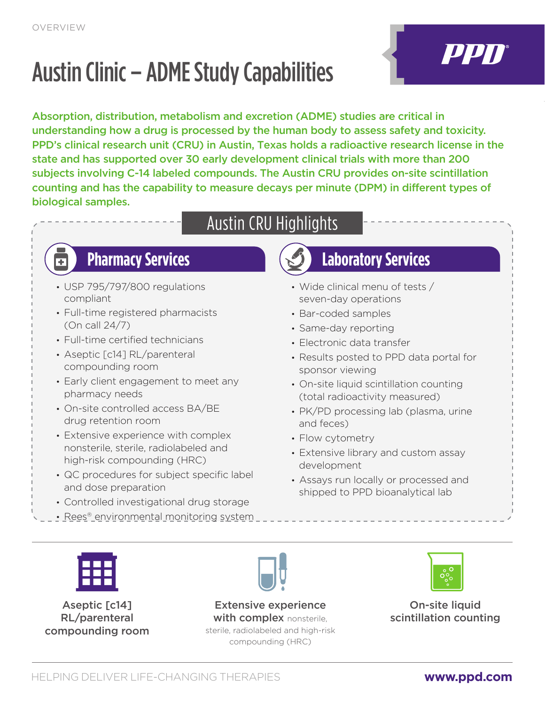# Austin Clinic – ADME Study Capabilities

Absorption, distribution, metabolism and excretion (ADME) studies are critical in understanding how a drug is processed by the human body to assess safety and toxicity. PPD's clinical research unit (CRU) in Austin, Texas holds a radioactive research license in the state and has supported over 30 early development clinical trials with more than 200 subjects involving C-14 labeled compounds. The Austin CRU provides on-site scintillation counting and has the capability to measure decays per minute (DPM) in different types of biological samples.

# Austin CRU Highlights

- USP 795/797/800 regulations compliant
- Full-time registered pharmacists (On call 24/7)
- Full-time certified technicians
- Aseptic [c14] RL/parenteral compounding room
- Early client engagement to meet any pharmacy needs
- On-site controlled access BA/BE drug retention room
- Extensive experience with complex nonsterile, sterile, radiolabeled and high-risk compounding (HRC)
- QC procedures for subject specific label and dose preparation
- Controlled investigational drug storage
- Rees® environmental monitoring system

# **Example 20 Pharmacy Services** Laboratory Services

- Wide clinical menu of tests / seven-day operations
- Bar-coded samples
- Same-day reporting
- Electronic data transfer
- Results posted to PPD data portal for sponsor viewing
- On-site liquid scintillation counting (total radioactivity measured)
- PK/PD processing lab (plasma, urine and feces)
- Flow cytometry
- Extensive library and custom assay development
- Assays run locally or processed and shipped to PPD bioanalytical lab



Aseptic [c14] RL/parenteral compounding room

Extensive experience with complex nonsterile. sterile, radiolabeled and high-risk compounding (HRC)



On-site liquid scintillation counting

PPN